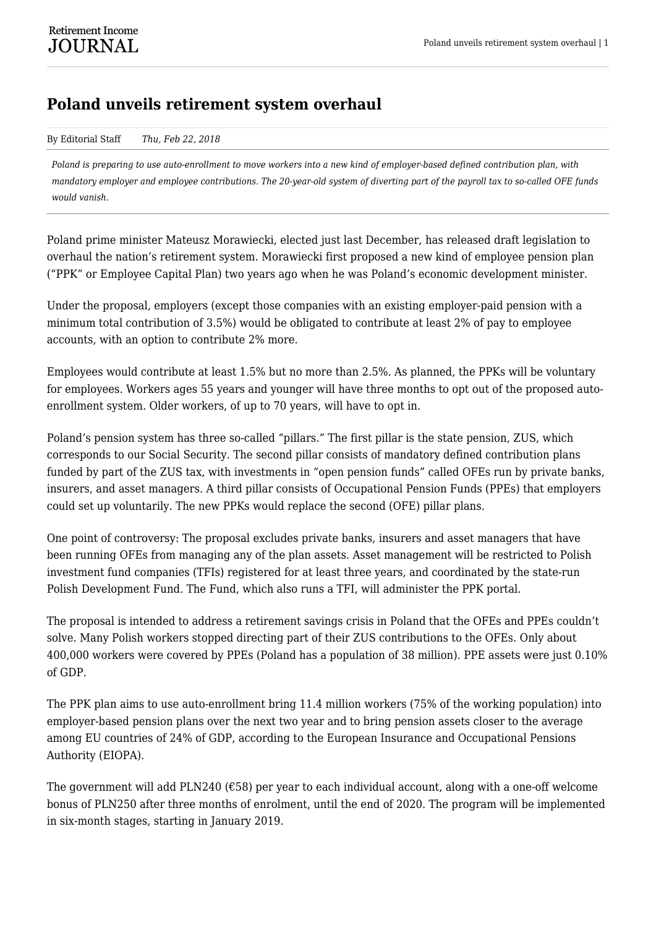## **Poland unveils retirement system overhaul**

## By Editorial Staff *Thu, Feb 22, 2018*

*Poland is preparing to use auto-enrollment to move workers into a new kind of employer-based defined contribution plan, with mandatory employer and employee contributions. The 20-year-old system of diverting part of the payroll tax to so-called OFE funds would vanish.*

Poland prime minister Mateusz Morawiecki, elected just last December, has released draft legislation to overhaul the nation's retirement system. Morawiecki first proposed a new kind of employee pension plan ("PPK" or Employee Capital Plan) two years ago when he was Poland's economic development minister.

Under the proposal, employers (except those companies with an existing employer-paid pension with a minimum total contribution of 3.5%) would be obligated to contribute at least 2% of pay to employee accounts, with an option to contribute 2% more.

Employees would contribute at least 1.5% but no more than 2.5%. As planned, the PPKs will be voluntary for employees. Workers ages 55 years and younger will have three months to opt out of the proposed autoenrollment system. Older workers, of up to 70 years, will have to opt in.

Poland's pension system has three so-called "pillars." The first pillar is the state pension, ZUS, which corresponds to our Social Security. The second pillar consists of mandatory defined contribution plans funded by part of the ZUS tax, with investments in "open pension funds" called OFEs run by private banks, insurers, and asset managers. A third pillar consists of Occupational Pension Funds (PPEs) that employers could set up voluntarily. The new PPKs would replace the second (OFE) pillar plans.

One point of controversy: The proposal excludes private banks, insurers and asset managers that have been running OFEs from managing any of the plan assets. Asset management will be restricted to Polish investment fund companies (TFIs) registered for at least three years, and coordinated by the state-run Polish Development Fund. The Fund, which also runs a TFI, will administer the PPK portal.

The proposal is intended to address a retirement savings crisis in Poland that the OFEs and PPEs couldn't solve. Many Polish workers stopped directing part of their ZUS contributions to the OFEs. Only about 400,000 workers were covered by PPEs (Poland has a population of 38 million). PPE assets were just 0.10% of GDP.

The PPK plan aims to use auto-enrollment bring 11.4 million workers (75% of the working population) into employer-based pension plans over the next two year and to bring pension assets closer to the average among EU countries of 24% of GDP, according to the European Insurance and Occupational Pensions Authority (EIOPA).

The government will add PLN240 ( $\epsilon$ 58) per year to each individual account, along with a one-off welcome bonus of PLN250 after three months of enrolment, until the end of 2020. The program will be implemented in six-month stages, starting in January 2019.